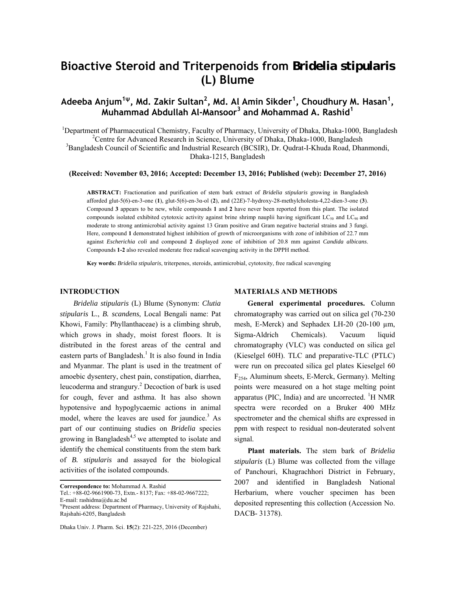# **Bioactive Steroid and Triterpenoids from** *Bridelia stipularis* **(L) Blume**

# **Adeeba Anjum1<sup>ψ</sup>, Md. Zakir Sultan<sup>2</sup> , Md. Al Amin Sikder<sup>1</sup> , Choudhury M. Hasan<sup>1</sup> , Muhammad Abdullah Al-Mansoor3 and Mohammad A. Rashid<sup>1</sup>**

<sup>1</sup>Department of Pharmaceutical Chemistry, Faculty of Pharmacy, University of Dhaka, Dhaka-1000, Bangladesh <sup>2</sup>Centre for Advanced Bessentin Sejange, University of Dhaka, Dhaka-1000, Bangladesh <sup>2</sup> Centre for Advanced Research in Science, University of Dhaka, Dhaka-1000, Bangladesh <sup>3</sup>Bangladesh Council of Scientific and Industrial Research (BCSIR), Dr. Qudrat-I-Khuda Road, Dhanmondi, Dhaka-1215, Bangladesh

**(Received: November 03, 2016; Accepted: December 13, 2016; Published (web): December 27, 2016)** 

**ABSTRACT:** Fractionation and purification of stem bark extract of *Bridelia stipularis* growing in Bangladesh afforded glut-5(6)-en-3-one (**1**), glut-5(6)-en-3α-ol (**2**), and (22*E*)-7-hydroxy-28-methylcholesta-4,22-dien-3-one (**3**). Compound **3** appears to be new, while compounds **1** and **2** have never been reported from this plant. The isolated compounds isolated exhibited cytotoxic activity against brine shrimp nauplii having significant  $LC_{50}$  and  $LC_{90}$  and moderate to strong antimicrobial activity against 13 Gram positive and Gram negative bacterial strains and 3 fungi. Here, compound **1** demonstrated highest inhibition of growth of microorganisms with zone of inhibition of 22.7 mm against *Escherichia coli* and compound **2** displayed zone of inhibition of 20.8 mm against *Candida albicans*. Compounds **1-2** also revealed moderate free radical scavenging activity in the DPPH method.

**Key words:** *Bridelia stipularis*, triterpenes, steroids, antimicrobial, cytotoxity, free radical scavenging

# **INTRODUCTION**

 *Bridelia stipularis* (L) Blume (Synonym: *Clutia stipularis* L., *B. scandens*, Local Bengali name: Pat Khowi, Family: Phyllanthaceae) is a climbing shrub, which grows in shady, moist forest floors. It is distributed in the forest areas of the central and eastern parts of Bangladesh.<sup>1</sup> It is also found in India and Myanmar. The plant is used in the treatment of amoebic dysentery, chest pain, constipation, diarrhea, leucoderma and strangury.<sup>2</sup> Decoction of bark is used for cough, fever and asthma. It has also shown hypotensive and hypoglycaemic actions in animal model, where the leaves are used for jaundice.<sup>3</sup> As part of our continuing studies on *Bridelia* species growing in Bangladesh<sup>4,5</sup> we attempted to isolate and identify the chemical constituents from the stem bark of *B. stipularis* and assayed for the biological activities of the isolated compounds.

**Correspondence to:** Mohammad A. Rashid

Tel.: +88-02-9661900-73, Extn.- 8137; Fax: +88-02-9667222; E-mail: rashidma@du.ac.bd

Dhaka Univ. J. Pharm. Sci. **15**(2): 221-225, 2016 (December)

# **MATERIALS AND METHODS**

 **General experimental procedures.** Column chromatography was carried out on silica gel (70-230 mesh, E-Merck) and Sephadex LH-20 (20-100 μm, Sigma-Aldrich Chemicals). Vacuum liquid chromatography (VLC) was conducted on silica gel (Kieselgel 60H). TLC and preparative-TLC (PTLC) were run on precoated silica gel plates Kieselgel 60 F254, Aluminum sheets, E-Merck, Germany). Melting points were measured on a hot stage melting point apparatus (PIC, India) and are uncorrected.  ${}^{1}H$  NMR spectra were recorded on a Bruker 400 MHz spectrometer and the chemical shifts are expressed in ppm with respect to residual non-deuterated solvent signal.

 **Plant materials.** The stem bark of *Bridelia stipularis* (L) Blume was collected from the village of Panchouri, Khagrachhori District in February, 2007 and identified in Bangladesh National Herbarium, where voucher specimen has been deposited representing this collection (Accession No. DACB- 31378).

ψ Present address: Department of Pharmacy, University of Rajshahi, Rajshahi-6205, Bangladesh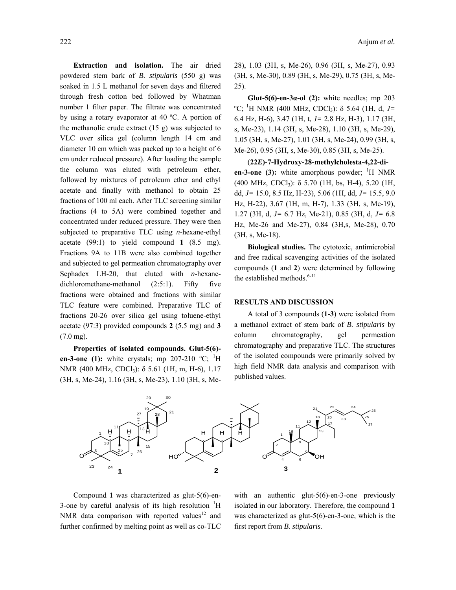**Extraction and isolation.** The air dried powdered stem bark of *B. stipularis* (550 g) was soaked in 1.5 L methanol for seven days and filtered through fresh cotton bed followed by Whatman number 1 filter paper. The filtrate was concentrated by using a rotary evaporator at 40 ºC. A portion of the methanolic crude extract (15 g) was subjected to VLC over silica gel (column length 14 cm and diameter 10 cm which was packed up to a height of 6 cm under reduced pressure). After loading the sample the column was eluted with petroleum ether, followed by mixtures of petroleum ether and ethyl acetate and finally with methanol to obtain 25 fractions of 100 ml each. After TLC screening similar fractions (4 to 5A) were combined together and concentrated under reduced pressure. They were then subjected to preparative TLC using *n*-hexane-ethyl acetate (99:1) to yield compound **1** (8.5 mg). Fractions 9A to 11B were also combined together and subjected to gel permeation chromatography over Sephadex LH-20, that eluted with *n*-hexanedichloromethane-methanol (2:5:1). Fifty five fractions were obtained and fractions with similar TLC feature were combined. Preparative TLC of fractions 20-26 over silica gel using toluene-ethyl acetate (97:3) provided compounds **2** (5.5 mg) and **3** (7.0 mg).

 **Properties of isolated compounds. Glut-5(6) en-3-one (1):** white crystals; mp  $207-210$  °C; <sup>1</sup>H NMR (400 MHz, CDCl<sub>3</sub>): δ 5.61 (1H, m, H-6), 1.17 (3H, s, Me-24), 1.16 (3H, s, Me-23), 1.10 (3H, s, Me28), 1.03 (3H, s, Me-26), 0.96 (3H, s, Me-27), 0.93 (3H, s, Me-30), 0.89 (3H, s, Me-29), 0.75 (3H, s, Me-25).

**Glut-5(6)-en-3** $\alpha$ **-ol (2):** white needles; mp 203 <sup>o</sup>C; <sup>1</sup>H NMR (400 MHz, CDCl<sub>3</sub>): δ 5.64 (1H, d, *J*= 6.4 Hz, H-6), 3.47 (1H, t, *J=* 2.8 Hz, H-3), 1.17 (3H, s, Me-23), 1.14 (3H, s, Me-28), 1.10 (3H, s, Me-29), 1.05 (3H, s, Me-27), 1.01 (3H, s, Me-24), 0.99 (3H, s, Me-26), 0.95 (3H, s, Me-30), 0.85 (3H, s, Me-25).

 (**22***E***)-7-Hydroxy-28-methylcholesta-4,22-dien-3-one (3):** white amorphous powder;  $\mathrm{^1H}$  NMR (400 MHz, CDCl<sub>3</sub>):  $\delta$  5.70 (1H, bs, H-4), 5.20 (1H, dd, *J=* 15.0, 8.5 Hz, H-23), 5.06 (1H, dd, *J=* 15.5, 9.0 Hz, H-22), 3.67 (1H, m, H-7), 1.33 (3H, s, Me-19), 1.27 (3H, d, *J=* 6.7 Hz, Me-21), 0.85 (3H, d, *J=* 6.8 Hz, Me-26 and Me-27), 0.84 (3H,s, Me-28), 0.70 (3H, s, Me-18).

**Biological studies.** The cytotoxic, antimicrobial and free radical scavenging activities of the isolated compounds (**1** and **2**) were determined by following the established methods.<sup>6-11</sup>

#### **RESULTS AND DISCUSSION**

 A total of 3 compounds (**1**-**3**) were isolated from a methanol extract of stem bark of *B. stipularis* by column chromatography, gel permeation chromatography and preparative TLC. The structures of the isolated compounds were primarily solved by high field NMR data analysis and comparison with published values.



 Compound **1** was characterized as glut-5(6)-en-3-one by careful analysis of its high resolution  ${}^{1}H$ NMR data comparison with reported values<sup>12</sup> and further confirmed by melting point as well as co-TLC

with an authentic glut-5(6)-en-3-one previously isolated in our laboratory. Therefore, the compound **1** was characterized as glut-5(6)-en-3-one, which is the first report from *B. stipularis*.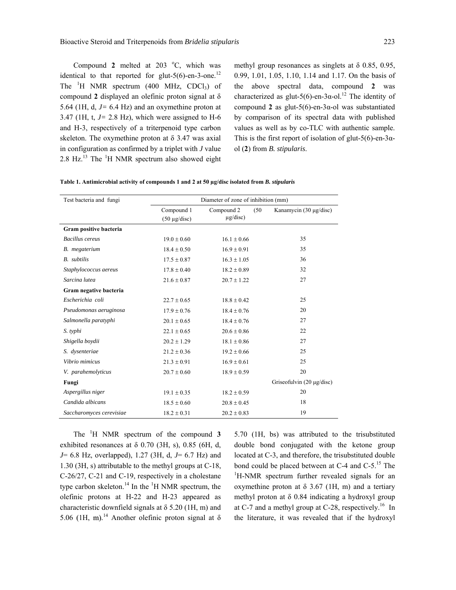Compound 2 melted at  $203 \text{ °C}$ , which was identical to that reported for glut-5(6)-en-3-one.<sup>12</sup> The  ${}^{1}H$  NMR spectrum (400 MHz, CDCl<sub>3</sub>) of compound **2** displayed an olefinic proton signal at δ 5.64 (1H,  $d, J = 6.4$  Hz) and an oxymethine proton at 3.47 (1H, t,  $J = 2.8$  Hz), which were assigned to H-6 and H-3, respectively of a triterpenoid type carbon skeleton. The oxymethine proton at  $\delta$  3.47 was axial in configuration as confirmed by a triplet with *J* value  $2.8$  Hz. $^{13}$  The  $^{1}$ H NMR spectrum also showed eight methyl group resonances as singlets at δ 0.85, 0.95, 0.99, 1.01, 1.05, 1.10, 1.14 and 1.17. On the basis of the above spectral data, compound **2** was characterized as glut-5(6)-en-3α-ol.<sup>12</sup> The identity of compound **2** as glut-5(6)-en-3 $\alpha$ -ol was substantiated by comparison of its spectral data with published values as well as by co-TLC with authentic sample. This is the first report of isolation of glut-5(6)-en-3 $\alpha$ ol (**2**) from *B. stipularis*.

|  | Table 1. Antimicrobial activity of compounds 1 and 2 at 50 µg/disc isolated from <i>B. stipularis</i> |
|--|-------------------------------------------------------------------------------------------------------|
|--|-------------------------------------------------------------------------------------------------------|

| Test bacteria and fungi  | Diameter of zone of inhibition (mm) |                    |                                |
|--------------------------|-------------------------------------|--------------------|--------------------------------|
|                          | Compound 1                          | Compound 2<br>(50) | Kanamycin (30 μg/disc)         |
|                          | $(50 \mu g/disc)$                   | $\mu$ g/disc)      |                                |
| Gram positive bacteria   |                                     |                    |                                |
| <b>Bacillus</b> cereus   | $19.0 \pm 0.60$                     | $16.1 \pm 0.66$    | 35                             |
| B. megaterium            | $18.4 \pm 0.50$                     | $16.9 \pm 0.91$    | 35                             |
| <b>B.</b> subtilis       | $17.5 \pm 0.87$                     | $16.3 \pm 1.05$    | 36                             |
| Staphylococcus aereus    | $17.8 \pm 0.40$                     | $18.2 \pm 0.89$    | 32                             |
| Sarcina lutea            | $21.6 \pm 0.87$                     | $20.7 \pm 1.22$    | 27                             |
| Gram negative bacteria   |                                     |                    |                                |
| Escherichia coli         | $22.7 \pm 0.65$                     | $18.8 \pm 0.42$    | 25                             |
| Pseudomonas aeruginosa   | $17.9 \pm 0.76$                     | $18.4 \pm 0.76$    | 20                             |
| Salmonella paratyphi     | $20.1 \pm 0.65$                     | $18.4 \pm 0.76$    | 27                             |
| S. typhi                 | $22.1 \pm 0.65$                     | $20.6 \pm 0.86$    | 22                             |
| Shigella boydii          | $20.2 \pm 1.29$                     | $18.1 \pm 0.86$    | 27                             |
| S. dysenteriae           | $21.2 \pm 0.36$                     | $19.2 \pm 0.66$    | 25                             |
| Vibrio mimicus           | $21.3 \pm 0.91$                     | $16.9 \pm 0.61$    | 25                             |
| V. parahemolyticus       | $20.7 \pm 0.60$                     | $18.9 \pm 0.59$    | 20                             |
| Fungi                    |                                     |                    | Griseofulvin $(20 \mu g/disc)$ |
| Aspergillus niger        | $19.1 \pm 0.35$                     | $18.2 \pm 0.59$    | 20                             |
| Candida albicans         | $18.5 \pm 0.60$                     | $20.8 \pm 0.45$    | 18                             |
| Saccharomyces cerevisiae | $18.2 \pm 0.31$                     | $20.2 \pm 0.83$    | 19                             |

 The <sup>1</sup> H NMR spectrum of the compound **3** exhibited resonances at  $\delta$  0.70 (3H, s), 0.85 (6H, d, *J*= 6.8 Hz, overlapped), 1.27 (3H, d, *J*= 6.7 Hz) and 1.30 (3H, s) attributable to the methyl groups at C-18, C-26/27, C-21 and C-19, respectively in a cholestane type carbon skeleton.<sup>14</sup> In the <sup>1</sup>H NMR spectrum, the olefinic protons at H-22 and H-23 appeared as characteristic downfield signals at  $\delta$  5.20 (1H, m) and 5.06 (1H, m).<sup>14</sup> Another olefinic proton signal at  $\delta$ 

5.70 (1H, bs) was attributed to the trisubstituted double bond conjugated with the ketone group located at C-3, and therefore, the trisubstituted double bond could be placed between at C-4 and  $C-5$ .<sup>15</sup> The <sup>1</sup>H-NMR spectrum further revealed signals for an oxymethine proton at δ 3.67 (1H, m) and a tertiary methyl proton at δ 0.84 indicating a hydroxyl group at C-7 and a methyl group at C-28, respectively.<sup>16</sup> In the literature, it was revealed that if the hydroxyl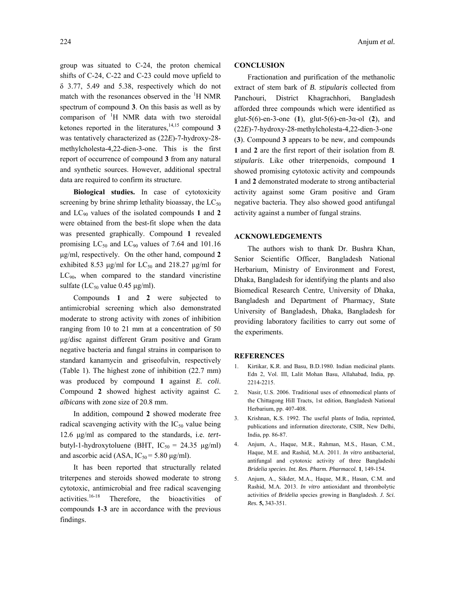group was situated to C-24, the proton chemical shifts of C-24, C-22 and C-23 could move upfield to δ 3.77, 5.49 and 5.38, respectively which do not match with the resonances observed in the <sup>1</sup>H NMR spectrum of compound **3**. On this basis as well as by comparison of  ${}^{1}H$  NMR data with two steroidal ketones reported in the literatures,  $14,15$  compound **3** was tentatively characterized as (22*E*)-7-hydroxy-28 methylcholesta-4,22-dien-3-one. This is the first report of occurrence of compound **3** from any natural and synthetic sources. However, additional spectral data are required to confirm its structure.

 **Biological studies.** In case of cytotoxicity screening by brine shrimp lethality bioassay, the  $LC_{50}$ and LC90 values of the isolated compounds **1** and **2** were obtained from the best-fit slope when the data was presented graphically. Compound **1** revealed promising  $LC_{50}$  and  $LC_{90}$  values of 7.64 and 101.16 µg/ml, respectively. On the other hand, compound **2** exhibited 8.53  $\mu$ g/ml for LC<sub>50</sub> and 218.27  $\mu$ g/ml for  $LC_{90}$ , when compared to the standard vincristine sulfate ( $LC_{50}$  value 0.45  $\mu$ g/ml).

 Compounds **1** and **2** were subjected to antimicrobial screening which also demonstrated moderate to strong activity with zones of inhibition ranging from 10 to 21 mm at a concentration of 50 µg/disc against different Gram positive and Gram negative bacteria and fungal strains in comparison to standard kanamycin and griseofulvin, respectively (Table 1). The highest zone of inhibition (22.7 mm) was produced by compound **1** against *E. coli*. Compound **2** showed highest activity against *C. albicans* with zone size of 20.8 mm.

 In addition, compound **2** showed moderate free radical scavenging activity with the  $IC_{50}$  value being 12.6 µg/ml as compared to the standards, i.e. *tert*butyl-1-hydroxytoluene (BHT,  $IC_{50} = 24.35 \text{ µg/ml}$ ) and ascorbic acid (ASA,  $IC_{50} = 5.80 \text{ µg/ml}$ ).

 It has been reported that structurally related triterpenes and steroids showed moderate to strong cytotoxic, antimicrobial and free radical scavenging activities.16-18 Therefore, the bioactivities of compounds **1**-**3** are in accordance with the previous findings.

## 224 Anjum *et al.*

# **CONCLUSION**

 Fractionation and purification of the methanolic extract of stem bark of *B. stipularis* collected from Panchouri, District Khagrachhori, Bangladesh afforded three compounds which were identified as glut-5(6)-en-3-one (**1**), glut-5(6)-en-3α-ol (**2**), and (22*E*)-7-hydroxy-28-methylcholesta-4,22-dien-3-one (**3**). Compound **3** appears to be new, and compounds **1** and **2** are the first report of their isolation from *B. stipularis*. Like other triterpenoids, compound **1** showed promising cytotoxic activity and compounds **1** and **2** demonstrated moderate to strong antibacterial activity against some Gram positive and Gram negative bacteria. They also showed good antifungal activity against a number of fungal strains.

## **ACKNOWLEDGEMENTS**

 The authors wish to thank Dr. Bushra Khan, Senior Scientific Officer, Bangladesh National Herbarium, Ministry of Environment and Forest, Dhaka, Bangladesh for identifying the plants and also Biomedical Research Centre, University of Dhaka, Bangladesh and Department of Pharmacy, State University of Bangladesh, Dhaka, Bangladesh for providing laboratory facilities to carry out some of the experiments.

#### **REFERENCES**

- 1. Kirtikar, K.R. and Basu, B.D.1980. Indian medicinal plants. Edn 2, Vol. III, Lalit Mohan Basu, Allahabad, India, pp. 2214-2215.
- 2. Nasir, U.S. 2006. Traditional uses of ethnomedical plants of the Chittagong Hill Tracts, 1st edition, Bangladesh National Herbarium, pp. 407-408.
- 3. Krishnan, K.S. 1992. The useful plants of India, reprinted, publications and information directorate, CSIR, New Delhi, India, pp. 86-87.
- 4. Anjum, A., Haque, M.R., Rahman, M.S., Hasan, C.M., Haque, M.E. and Rashid, M.A. 2011. *In vitro* antibacterial, antifungal and cytotoxic activity of three Bangladeshi *Bridelia species*. *Int. Res. Pharm. Pharmacol.* **1**, 149-154.
- 5. Anjum, A., Sikder, M.A., Haque, M.R., Hasan, C.M. and Rashid, M.A*.* 2013. *In vitro* antioxidant and thrombolytic activities of *Bridelia* species growing in Bangladesh. *J. Sci. Res.* **5,** 343-351.